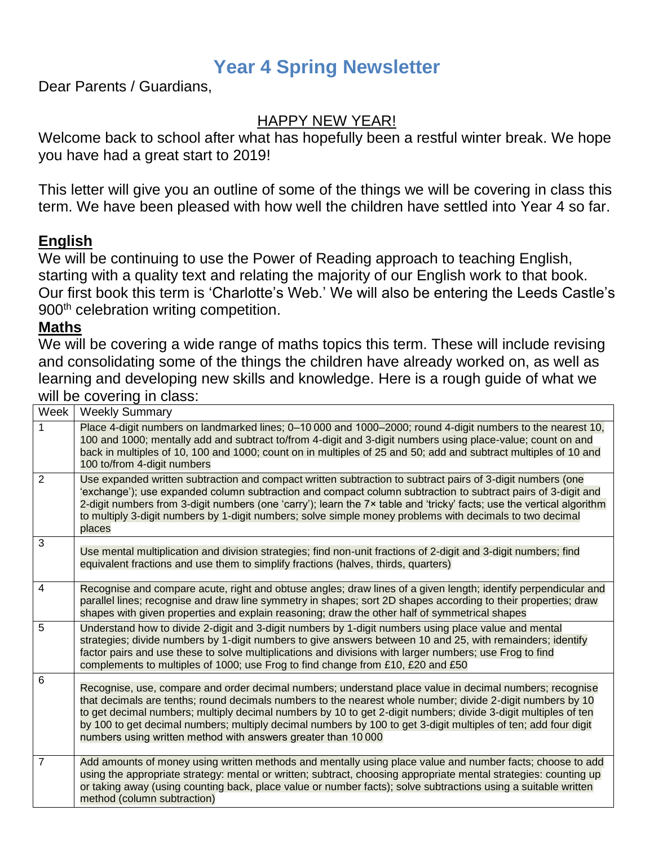# **Year 4 Spring Newsletter**

Dear Parents / Guardians,

# HAPPY NEW YEAR!

Welcome back to school after what has hopefully been a restful winter break. We hope you have had a great start to 2019!

This letter will give you an outline of some of the things we will be covering in class this term. We have been pleased with how well the children have settled into Year 4 so far.

# **English**

We will be continuing to use the Power of Reading approach to teaching English, starting with a quality text and relating the majority of our English work to that book. Our first book this term is 'Charlotte's Web.' We will also be entering the Leeds Castle's 900<sup>th</sup> celebration writing competition.

### **Maths**

We will be covering a wide range of maths topics this term. These will include revising and consolidating some of the things the children have already worked on, as well as learning and developing new skills and knowledge. Here is a rough guide of what we will be covering in class:

| Week           | <b>Weekly Summary</b>                                                                                                                                                                                                                                                                                                                                                                                                                                                                                                      |
|----------------|----------------------------------------------------------------------------------------------------------------------------------------------------------------------------------------------------------------------------------------------------------------------------------------------------------------------------------------------------------------------------------------------------------------------------------------------------------------------------------------------------------------------------|
| 1              | Place 4-digit numbers on landmarked lines; 0-10 000 and 1000-2000; round 4-digit numbers to the nearest 10,<br>100 and 1000; mentally add and subtract to/from 4-digit and 3-digit numbers using place-value; count on and<br>back in multiples of 10, 100 and 1000; count on in multiples of 25 and 50; add and subtract multiples of 10 and<br>100 to/from 4-digit numbers                                                                                                                                               |
| $\overline{2}$ | Use expanded written subtraction and compact written subtraction to subtract pairs of 3-digit numbers (one<br>'exchange'); use expanded column subtraction and compact column subtraction to subtract pairs of 3-digit and<br>2-digit numbers from 3-digit numbers (one 'carry'); learn the 7x table and 'tricky' facts; use the vertical algorithm<br>to multiply 3-digit numbers by 1-digit numbers; solve simple money problems with decimals to two decimal<br>places                                                  |
| 3              | Use mental multiplication and division strategies; find non-unit fractions of 2-digit and 3-digit numbers; find<br>equivalent fractions and use them to simplify fractions (halves, thirds, quarters)                                                                                                                                                                                                                                                                                                                      |
| 4              | Recognise and compare acute, right and obtuse angles; draw lines of a given length; identify perpendicular and<br>parallel lines; recognise and draw line symmetry in shapes; sort 2D shapes according to their properties; draw<br>shapes with given properties and explain reasoning; draw the other half of symmetrical shapes                                                                                                                                                                                          |
| 5              | Understand how to divide 2-digit and 3-digit numbers by 1-digit numbers using place value and mental<br>strategies; divide numbers by 1-digit numbers to give answers between 10 and 25, with remainders; identify<br>factor pairs and use these to solve multiplications and divisions with larger numbers; use Frog to find<br>complements to multiples of 1000; use Frog to find change from £10, £20 and £50                                                                                                           |
| $\,6$          | Recognise, use, compare and order decimal numbers; understand place value in decimal numbers; recognise<br>that decimals are tenths; round decimals numbers to the nearest whole number; divide 2-digit numbers by 10<br>to get decimal numbers; multiply decimal numbers by 10 to get 2-digit numbers; divide 3-digit multiples of ten<br>by 100 to get decimal numbers; multiply decimal numbers by 100 to get 3-digit multiples of ten; add four digit<br>numbers using written method with answers greater than 10 000 |
| 7              | Add amounts of money using written methods and mentally using place value and number facts; choose to add<br>using the appropriate strategy: mental or written; subtract, choosing appropriate mental strategies: counting up<br>or taking away (using counting back, place value or number facts); solve subtractions using a suitable written<br>method (column subtraction)                                                                                                                                             |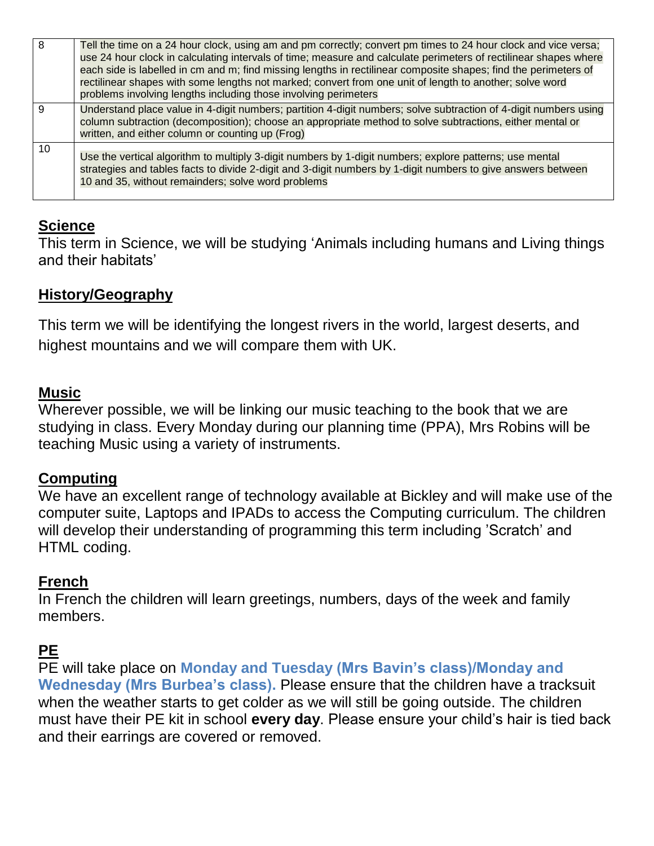| 8  | Tell the time on a 24 hour clock, using am and pm correctly; convert pm times to 24 hour clock and vice versa;<br>use 24 hour clock in calculating intervals of time; measure and calculate perimeters of rectilinear shapes where<br>each side is labelled in cm and m; find missing lengths in rectilinear composite shapes; find the perimeters of<br>rectilinear shapes with some lengths not marked; convert from one unit of length to another; solve word<br>problems involving lengths including those involving perimeters |
|----|-------------------------------------------------------------------------------------------------------------------------------------------------------------------------------------------------------------------------------------------------------------------------------------------------------------------------------------------------------------------------------------------------------------------------------------------------------------------------------------------------------------------------------------|
| 9  | Understand place value in 4-digit numbers; partition 4-digit numbers; solve subtraction of 4-digit numbers using<br>column subtraction (decomposition); choose an appropriate method to solve subtractions, either mental or<br>written, and either column or counting up (Frog)                                                                                                                                                                                                                                                    |
| 10 | Use the vertical algorithm to multiply 3-digit numbers by 1-digit numbers; explore patterns; use mental<br>strategies and tables facts to divide 2-digit and 3-digit numbers by 1-digit numbers to give answers between<br>10 and 35, without remainders; solve word problems                                                                                                                                                                                                                                                       |

# **Science**

This term in Science, we will be studying 'Animals including humans and Living things and their habitats'

## **History/Geography**

This term we will be identifying the longest rivers in the world, largest deserts, and highest mountains and we will compare them with UK.

## **Music**

Wherever possible, we will be linking our music teaching to the book that we are studying in class. Every Monday during our planning time (PPA), Mrs Robins will be teaching Music using a variety of instruments.

## **Computing**

We have an excellent range of technology available at Bickley and will make use of the computer suite, Laptops and IPADs to access the Computing curriculum. The children will develop their understanding of programming this term including 'Scratch' and HTML coding.

## **French**

In French the children will learn greetings, numbers, days of the week and family members.

# **PE**

PE will take place on **Monday and Tuesday (Mrs Bavin's class)/Monday and Wednesday (Mrs Burbea's class).** Please ensure that the children have a tracksuit when the weather starts to get colder as we will still be going outside. The children must have their PE kit in school **every day**. Please ensure your child's hair is tied back and their earrings are covered or removed.